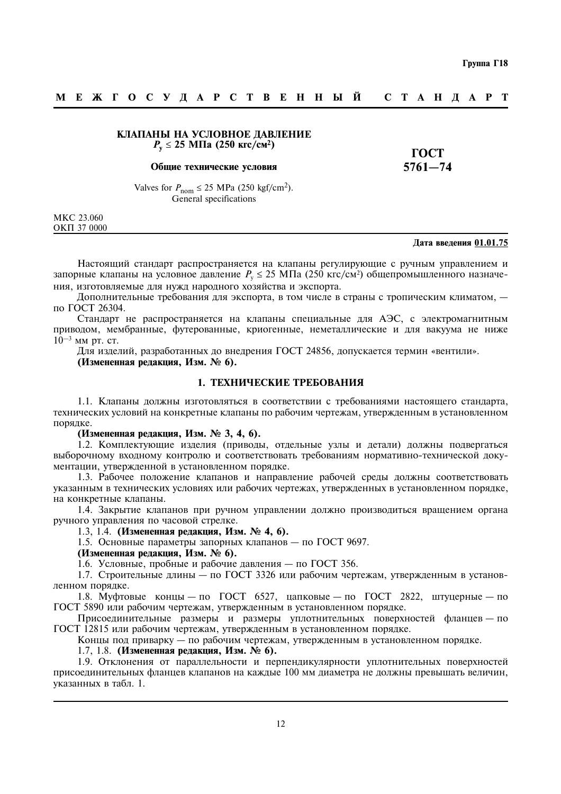#### МЕЖГОСУДАРСТВЕННЫЙ **СТАНДАРТ**

# КЛАПАНЫ НА УСЛОВНОЕ ДАВЛЕНИЕ  $P_v \le 25$  MIIa (250 krc/cm<sup>2</sup>)

#### Общие технические условия

**TOCT**  $5761 - 74$ 

Valves for  $P_{\text{nom}} \le 25 \text{ MPa}$  (250 kgf/cm<sup>2</sup>). General specifications

MKC 23.060 OKIT 37 0000

#### Дата введения 01.01.75

Настоящий стандарт распространяется на клапаны регулирующие с ручным управлением и запорные клапаны на условное давление  $P_v \le 25$  МПа (250 кгс/см<sup>2</sup>) общепромышленного назначения, изготовляемые для нужд народного хозяйства и экспорта.

Дополнительные требования для экспорта, в том числе в страны с тропическим климатом, по ГОСТ 26304.

Стандарт не распространяется на клапаны специальные для АЭС, с электромагнитным приводом, мембранные, футерованные, криогенные, неметаллические и для вакуума не ниже  $10^{-3}$  MM pT. CT.

Для изделий, разработанных до внедрения ГОСТ 24856, допускается термин «вентили».

(Измененная редакция, Изм. № 6).

# 1. ТЕХНИЧЕСКИЕ ТРЕБОВАНИЯ

1.1. Клапаны должны изготовляться в соответствии с требованиями настоящего стандарта. технических условий на конкретные клапаны по рабочим чертежам, утвержденным в установленном порядке.

(Измененная редакция, Изм. № 3, 4, 6).

1.2. Комплектующие изделия (приводы, отдельные узлы и детали) должны подвергаться выборочному входному контролю и соответствовать требованиям нормативно-технической документации, утвержденной в установленном порядке.

1.3. Рабочее положение клапанов и направление рабочей среды должны соответствовать указанным в технических условиях или рабочих чертежах, утвержденных в установленном порядке, на конкретные клапаны.

1.4. Закрытие клапанов при ручном управлении должно производиться вращением органа ручного управления по часовой стрелке.

1.3, 1.4. (Измененная редакция, Изм. № 4, 6).

1.5. Основные параметры запорных клапанов - по ГОСТ 9697.

(Измененная релакция, Изм. № 6).

1.6. Условные, пробные и рабочие давления — по ГОСТ 356.

1.7. Строительные длины — по ГОСТ 3326 или рабочим чертежам, утвержденным в установленном порядке.

1.8. Муфтовые концы — по ГОСТ 6527, цапковые — по ГОСТ 2822, штуцерные — по ГОСТ 5890 или рабочим чертежам, утвержденным в установленном порядке.

Присоединительные размеры и размеры уплотнительных поверхностей фланцев - по ГОСТ 12815 или рабочим чертежам, утвержденным в установленном порядке.

Концы под приварку — по рабочим чертежам, утвержденным в установленном порядке.

1.7, 1.8. (Измененная редакция, Изм. № 6).

1.9. Отклонения от параллельности и перпендикулярности уплотнительных поверхностей присоединительных фланцев клапанов на каждые 100 мм диаметра не должны превышать величин, указанных в табл. 1.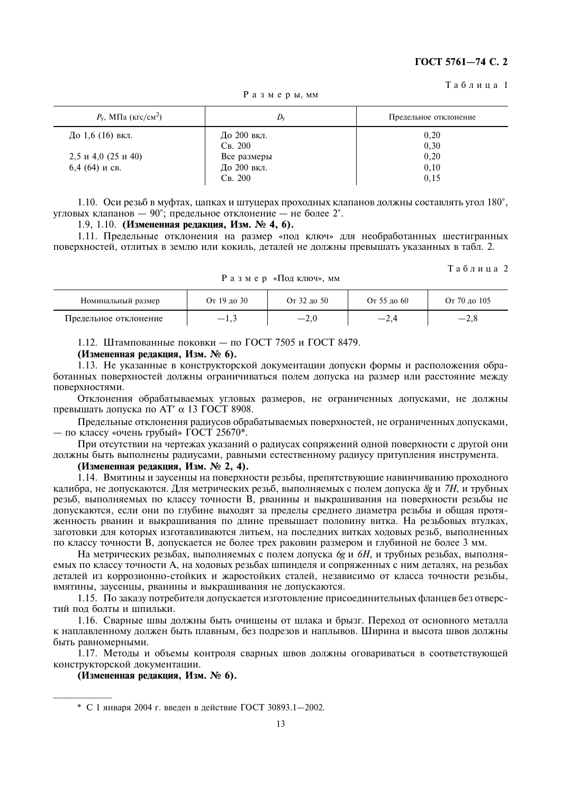#### Таблина 1

| $P_{\rm V}$ , МПа (кгс/см <sup>2</sup> ) | $D_{\rm v}$ | Предельное отклонение |
|------------------------------------------|-------------|-----------------------|
| До 1,6 (16) вкл.                         | До 200 вкл. | 0,20                  |
|                                          | Св. 200     | 0,30                  |
| 2,5 и 4,0 (25 и 40)                      | Все размеры | 0,20                  |
| 6,4 (64) и св.                           | До 200 вкл. | 0,10                  |
|                                          | Св. 200     | 0,15                  |

Размеры, мм

1.10. Оси резьб в муфтах, цапках и штуцерах проходных клапанов должны составлять угол 180°, угловых клапанов  $-90^\circ$ ; предельное отклонение — не более 2°.

# 1.9, 1.10. (Измененная редакция, Изм. № 4, 6).

1.11. Предельные отклонения на размер «под ключ» для необработанных шестигранных поверхностей, отлитых в землю или кокиль, деталей не должны превышать указанных в табл. 2.

Таблица 2

| Номинальный размер    | От 19 до 30 | От 32 до 50 | От 55 до 60 | От 70 до 105 |
|-----------------------|-------------|-------------|-------------|--------------|
| Предельное отклонение |             | $-L,0$      | $-2,4$      | —∠.օ         |

Размер «Подключ», мм

1.12. Штампованные поковки - по ГОСТ 7505 и ГОСТ 8479.

#### (Измененная редакция, Изм. № 6).

1.13. Не указанные в конструкторской документации допуски формы и расположения обработанных поверхностей должны ограничиваться полем допуска на размер или расстояние между поверхностями.

Отклонения обрабатываемых угловых размеров, не ограниченных допусками, не должны превышать допуска по АТ' α 13 ГОСТ 8908.

Предельные отклонения радиусов обрабатываемых поверхностей, не ограниченных допусками, - по классу «очень грубый» ГОСТ 25670\*.

При отсутствии на чертежах указаний о радиусах сопряжений одной поверхности с другой они должны быть выполнены радиусами, равными естественному радиусу притупления инструмента.

#### (Измененная редакция, Изм. № 2, 4).

1.14. Вмятины и заусенцы на поверхности резьбы, препятствующие навинчиванию проходного калибра, не допускаются. Для метрических резьб, выполняемых с полем допуска 8g и 7H, и трубных резьб, выполняемых по классу точности В, рванины и выкрашивания на поверхности резьбы не допускаются, если они по глубине выходят за пределы среднего диаметра резьбы и общая протяженность рванин и выкрашивания по длине превышает половину витка. На резьбовых втулках, заготовки для которых изготавливаются литьем, на последних витках ходовых резьб, выполненных по классу точности В, допускается не более трех раковин размером и глубиной не более 3 мм.

На метрических резьбах, выполняемых с полем допуска бе и 6Н, и трубных резьбах, выполняемых по классу точности А, на ходовых резьбах шпинделя и сопряженных с ним деталях, на резьбах леталей из коррозионно-стойких и жаростойких сталей, независимо от класса точности резьбы, вмятины, заусенцы, рванины и выкрашивания не допускаются.

1.15. По заказу потребителя допускается изготовление присоединительных фланцев без отверстий пол болты и шпильки.

1.16. Сварные швы должны быть очищены от шлака и брызг. Переход от основного металла к наплавленному должен быть плавным, без подрезов и наплывов. Ширина и высота швов должны быть равномерными.

1.17. Методы и объемы контроля сварных швов должны оговариваться в соответствующей конструкторской документации.

(Измененная редакция, Изм. № 6).

<sup>\*</sup> С 1 января 2004 г. ввелен в лействие ГОСТ 30893.1-2002.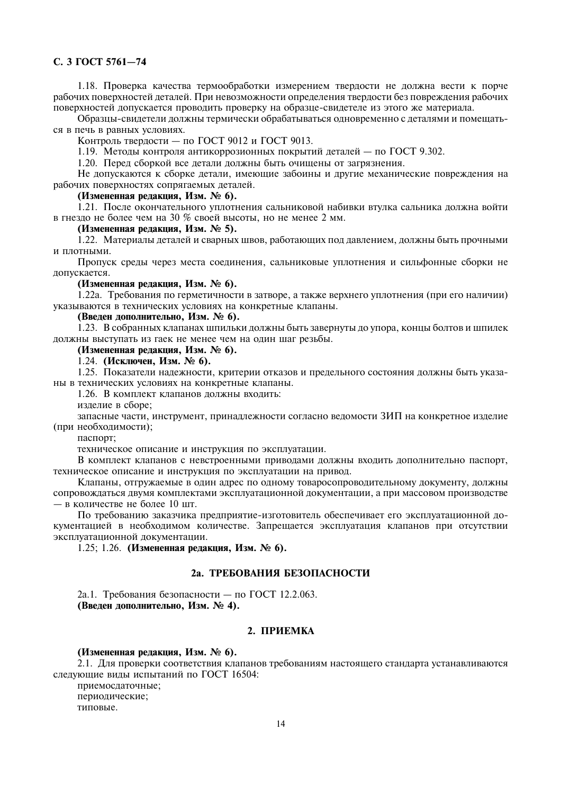# C. 3 FOCT 5761-74

1.18. Проверка качества термообработки измерением твердости не должна вести к порче рабочих поверхностей деталей. При невозможности определения твердости без повреждения рабочих поверхностей допускается проводить проверку на образце-свидетеле из этого же материала.

Образцы-свидетели должны термически обрабатываться одновременно с деталями и помещаться в печь в равных условиях.

Контроль твердости — по ГОСТ 9012 и ГОСТ 9013.

1.19. Методы контроля антикоррозионных покрытий деталей – по ГОСТ 9.302.

1.20. Перед сборкой все детали должны быть очищены от загрязнения.

Не допускаются к сборке детали, имеющие забоины и другие механические повреждения на рабочих поверхностях сопрягаемых деталей.

# (Измененная релакция, Изм. № 6).

1.21. После окончательного уплотнения сальниковой набивки втулка сальника должна войти в гнездо не более чем на 30 % своей высоты, но не менее 2 мм.

# (Измененная редакция, Изм. № 5).

1.22. Материалы деталей и сварных швов, работающих под давлением, должны быть прочными и плотными.

Пропуск среды через места соединения, сальниковые уплотнения и сильфонные сборки не допускается.

#### (Измененная редакция, Изм. № 6).

1.22а. Требования по герметичности в затворе, а также верхнего уплотнения (при его наличии) указываются в технических условиях на конкретные клапаны.

#### (Введен дополнительно, Изм. № 6).

1.23. В собранных клапанах шпильки должны быть завернуты до упора, концы болтов и шпилек должны выступать из гаек не менее чем на один шаг резьбы.

# (Измененная редакция, Изм. № 6).

1.24. (Исключен, Изм. № 6).

1.25. Показатели надежности, критерии отказов и предельного состояния должны быть указаны в технических условиях на конкретные клапаны.

1.26. В комплект клапанов должны входить:

излелие в сборе:

запасные части, инструмент, принадлежности согласно ведомости ЗИП на конкретное изделие (при необходимости);

паспорт:

техническое описание и инструкция по эксплуатации.

В комплект клапанов с невстроенными приводами должны входить дополнительно паспорт. техническое описание и инструкция по эксплуатации на привод.

Клапаны, отгружаемые в один адрес по одному товаросопроводительному документу, должны сопровождаться двумя комплектами эксплуатационной документации, а при массовом производстве - в количестве не более 10 шт.

По требованию заказчика предприятие-изготовитель обеспечивает его эксплуатационной документацией в необходимом количестве. Запрещается эксплуатация клапанов при отсутствии эксплуатационной документации.

1.25; 1.26. (Измененная редакция, Изм. № 6).

# 2а. ТРЕБОВАНИЯ БЕЗОПАСНОСТИ

2а.1. Требования безопасности — по ГОСТ 12.2.063. (Введен дополнительно, Изм. № 4).

# 2. ПРИЕМКА

## (Измененная редакция, Изм. № 6).

2.1. Для проверки соответствия клапанов требованиям настоящего стандарта устанавливаются следующие виды испытаний по ГОСТ 16504:

приемосдаточные; периодические; типовые.

 $14$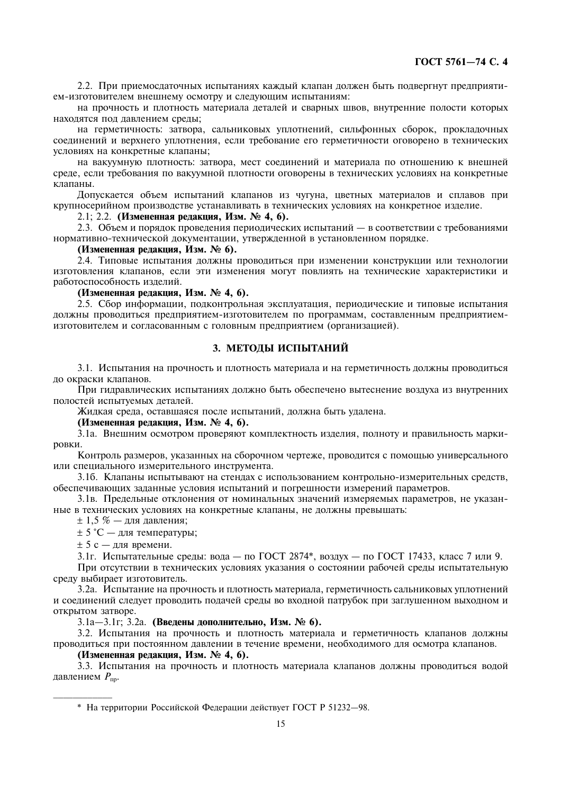2.2. При приемосдаточных испытаниях каждый клапан должен быть подвергнут предприятием-изготовителем внешнему осмотру и следующим испытаниям:

на прочность и плотность материала деталей и сварных швов, внутренние полости которых находятся под давлением среды;

на герметичность: затвора, сальниковых уплотнений, сильфонных сборок, прокладочных соединений и верхнего уплотнения, если требование его герметичности оговорено в технических условиях на конкретные клапаны:

на вакуумную плотность: затвора, мест соединений и материала по отношению к внешней среде, если требования по вакуумной плотности оговорены в технических условиях на конкретные клапаны.

Допускается объем испытаний клапанов из чугуна, цветных материалов и сплавов при крупносерийном производстве устанавливать в технических условиях на конкретное изделие.

2.1; 2.2. (Измененная редакция, Изм. № 4, 6).

2.3. Объем и порядок проведения периодических испытаний — в соответствии с требованиями нормативно-технической документации, утвержденной в установленном порядке.

#### (Измененная редакция, Изм. № 6).

2.4. Типовые испытания должны проводиться при изменении конструкции или технологии изготовления клапанов, если эти изменения могут повлиять на технические характеристики и работоспособность изделий.

(Измененная редакция, Изм. № 4, 6).

2.5. Сбор информации, подконтрольная эксплуатация, периодические и типовые испытания должны проводиться предприятием-изготовителем по программам, составленным предприятиемизготовителем и согласованным с головным предприятием (организацией).

# 3. МЕТОЛЫ ИСПЫТАНИЙ

3.1. Испытания на прочность и плотность материала и на герметичность должны проводиться до окраски клапанов.

При гидравлических испытаниях должно быть обеспечено вытеснение воздуха из внутренних полостей испытуемых деталей.

Жидкая среда, оставшаяся после испытаний, должна быть удалена.

(Измененная редакция, Изм. № 4, 6).

3.1а. Внешним осмотром проверяют комплектность изделия, полноту и правильность маркировки.

Контроль размеров, указанных на сборочном чертеже, проводится с помощью универсального или специального измерительного инструмента.

3.16. Клапаны испытывают на стендах с использованием контрольно-измерительных средств, обеспечивающих заданные условия испытаний и погрешности измерений параметров.

3.1в. Предельные отклонения от номинальных значений измеряемых параметров, не указанные в технических условиях на конкретные клапаны, не должны превышать:

 $\pm$  1,5 % — для давления;

± 5 °C - для температуры;

 $\pm$  5 с — лля времени.

3.1г. Испытательные среды: вода - по ГОСТ 2874\*, воздух - по ГОСТ 17433, класс 7 или 9.

При отсутствии в технических условиях указания о состоянии рабочей среды испытательную среду выбирает изготовитель.

3.2а. Испытание на прочность и плотность материала, герметичность сальниковых уплотнений и соединений следует проводить подачей среды во входной патрубок при заглушенном выходном и открытом затворе.

3.1а–3.1г; 3.2а. (Введены дополнительно, Изм. № 6).

3.2. Испытания на прочность и плотность материала и герметичность клапанов должны проводиться при постоянном давлении в течение времени, необходимого для осмотра клапанов.

# (Измененная редакция, Изм. № 4, 6).

3.3. Испытания на прочность и плотность материала клапанов должны проводиться водой давлением  $P_{\text{nn}}$ .

\* На территории Российской Фелерации лействует ГОСТ Р 51232-98.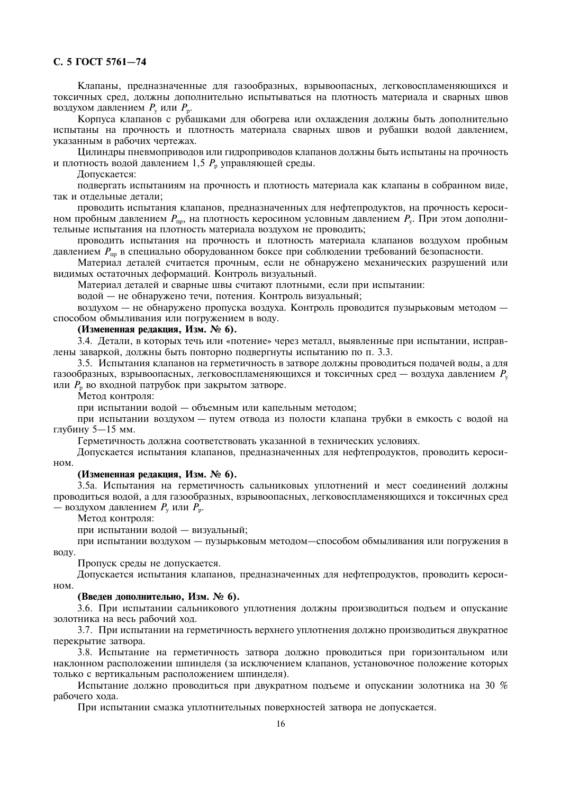# C. 5 FOCT 5761-74

Клапаны, предназначенные для газообразных, взрывоопасных, легковоспламеняющихся и токсичных сред, должны дополнительно испытываться на плотность материала и сварных швов воздухом давлением  $P_v$  или  $P_v$ .

Корпуса клапанов с рубашками для обогрева или охлаждения должны быть дополнительно испытаны на прочность и плотность материала сварных швов и рубашки водой давлением. указанным в рабочих чертежах.

Цилиндры пневмоприводов или гидроприводов клапанов должны быть испытаны на прочность и плотность водой давлением 1,5  $P_{\text{n}}$  управляющей среды.

Допускается:

подвергать испытаниям на прочность и плотность материала как клапаны в собранном виде, так и отлельные летали:

проводить испытания клапанов, предназначенных для нефтепродуктов, на прочность керосином пробным давлением  $P_{\text{m}}$ , на плотность керосином условным давлением  $P_{\text{v}}$ . При этом дополнительные испытания на плотность материала воздухом не проводить;

проводить испытания на прочность и плотность материала клапанов воздухом пробным давлением  $P_{\text{no}}$  в специально оборудованном боксе при соблюдении требований безопасности.

Материал деталей считается прочным, если не обнаружено механических разрушений или видимых остаточных деформаций. Контроль визуальный.

Материал деталей и сварные швы считают плотными, если при испытании:

волой — не обнаружено течи. потения. Контроль визуальный:

воздухом - не обнаружено пропуска воздуха. Контроль проводится пузырьковым методом способом обмыливания или погружением в воду.

# (Измененная редакция, Изм. № 6).

3.4. Детали, в которых течь или «потение» через металл, выявленные при испытании, исправлены заваркой, должны быть повторно подвергнуты испытанию по п. 3.3.

3.5. Испытания клапанов на герметичность в затворе должны проводиться подачей воды, а для газообразных, взрывоопасных, легковоспламеняющихся и токсичных сред — воздуха давлением  $P_y$ или  $P_p$  во входной патрубок при закрытом затворе.

Метод контроля:

при испытании водой — объемным или капельным методом;

при испытании воздухом - путем отвода из полости клапана трубки в емкость с водой на глубину 5-15 мм.

Герметичность должна соответствовать указанной в технических условиях.

Допускается испытания клапанов, предназначенных для нефтепродуктов, проводить кероси-HOM.

### (Измененная редакция, Изм. № 6).

3.5а. Испытания на герметичность сальниковых уплотнений и мест соединений должны проводиться водой, а для газообразных, взрывоопасных, легковоспламеняющихся и токсичных сред — воздухом давлением  $P_v$  или  $P_v$ .

Метод контроля:

при испытании водой - визуальный;

при испытании воздухом - пузырьковым методом-способом обмыливания или погружения в воду.

Пропуск среды не допускается.

Лопускается испытания клапанов, предназначенных для нефтепродуктов, проводить кероси- $HOM$ 

# (Введен дополнительно, Изм. № 6).

3.6. При испытании сальникового уплотнения должны производиться подъем и опускание золотника на весь рабочий ход.

3.7. При испытании на герметичность верхнего уплотнения должно производиться двукратное перекрытие затвора.

3.8. Испытание на герметичность затвора должно проводиться при горизонтальном или наклонном расположении шпинделя (за исключением клапанов, установочное положение которых только с вертикальным расположением шпинделя).

Испытание должно проводиться при двукратном подъеме и опускании золотника на 30 % рабочего хола.

При испытании смазка уплотнительных поверхностей затвора не допускается.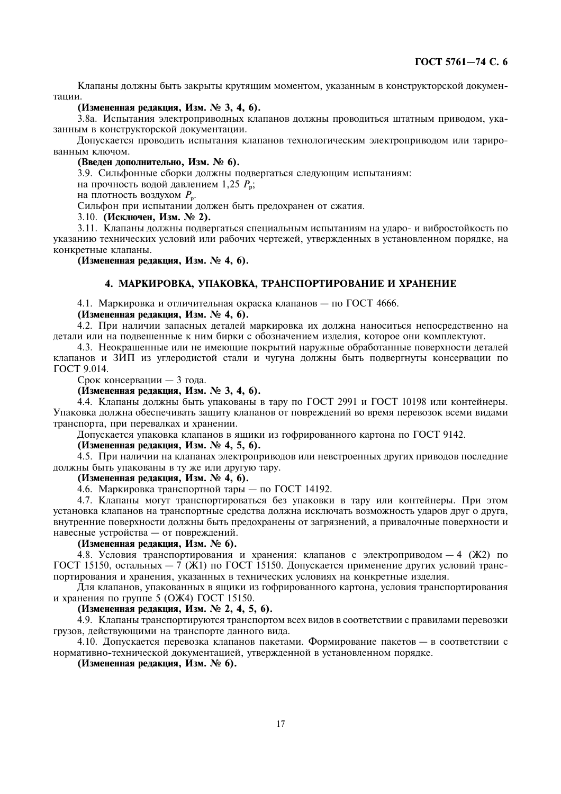Клапаны должны быть закрыты крутящим моментом, указанным в конструкторской документании.

### (Измененная редакция, Изм. № 3, 4, 6).

3.8а. Испытания электроприводных клапанов должны проводиться штатным приводом, указанным в конструкторской документации.

Лопускается проводить испытания клапанов технологическим электроприводом или тарированным ключом.

## (Введен дополнительно, Изм. № 6).

3.9. Сильфонные сборки должны подвергаться следующим испытаниям:

на прочность водой давлением 1,25  $P_{\rm n}$ ;

на плотность воздухом  $P_n$ .

Сильфон при испытании должен быть предохранен от сжатия.

3.10. (Исключен, Изм. № 2).

3.11. Клапаны должны подвергаться специальным испытаниям на ударо- и вибростойкость по указанию технических условий или рабочих чертежей, утвержденных в установленном порядке, на конкретные клапаны.

(Измененная редакция, Изм. № 4, 6).

# 4. МАРКИРОВКА, УПАКОВКА, ТРАНСПОРТИРОВАНИЕ И ХРАНЕНИЕ

4.1. Маркировка и отличительная окраска клапанов - по ГОСТ 4666.

# (Измененная редакция, Изм. № 4, 6).

4.2. При наличии запасных деталей маркировка их должна наноситься непосредственно на летали или на полвешенные к ним бирки с обозначением излелия, которое они комплектуют.

4.3. Неокращенные или не имеющие покрытий наружные обработанные поверхности леталей клапанов и ЗИП из углеродистой стали и чугуна должны быть подвергнуты консервации по ГОСТ 9.014.

Срок консервации - 3 года.

# (Измененная редакция, Изм. № 3, 4, 6).

4.4. Клапаны должны быть упакованы в тару по ГОСТ 2991 и ГОСТ 10198 или контейнеры. Упаковка должна обеспечивать зашиту клапанов от повреждений во время перевозок всеми видами транспорта, при перевалках и хранении.

Допускается упаковка клапанов в ящики из гофрированного картона по ГОСТ 9142.

#### (Измененная редакция, Изм. № 4, 5, 6).

4.5. При наличии на клапанах электроприводов или невстроенных других приводов последние должны быть упакованы в ту же или другую тару.

# (Измененная редакция, Изм. № 4, 6).

4.6. Маркировка транспортной тары — по ГОСТ 14192.

4.7. Клапаны могут транспортироваться без упаковки в тару или контейнеры. При этом установка клапанов на транспортные средства должна исключать возможность ударов друг о друга, внутренние поверхности должны быть предохранены от загрязнений, а привалочные поверхности и навесные устройства - от повреждений.

# (Измененная редакция, Изм. № 6).

4.8. Условия транспортирования и хранения: клапанов с электроприводом - 4 (Ж2) по ГОСТ 15150, остальных - 7 (Ж1) по ГОСТ 15150. Допускается применение других условий транспортирования и хранения, указанных в технических условиях на конкретные изделия.

Для клапанов, упакованных в ящики из гофрированного картона, условия транспортирования и хранения по группе 5 (ОЖ4) ГОСТ 15150.

# (Измененная редакция, Изм. № 2, 4, 5, 6).

4.9. Клапаны транспортируются транспортом всех видов в соответствии с правилами перевозки грузов, действующими на транспорте данного вида.

4.10. Допускается перевозка клапанов пакетами. Формирование пакетов - в соответствии с нормативно-технической документацией, утвержденной в установленном порядке.

#### (Измененная редакция, Изм. № 6).